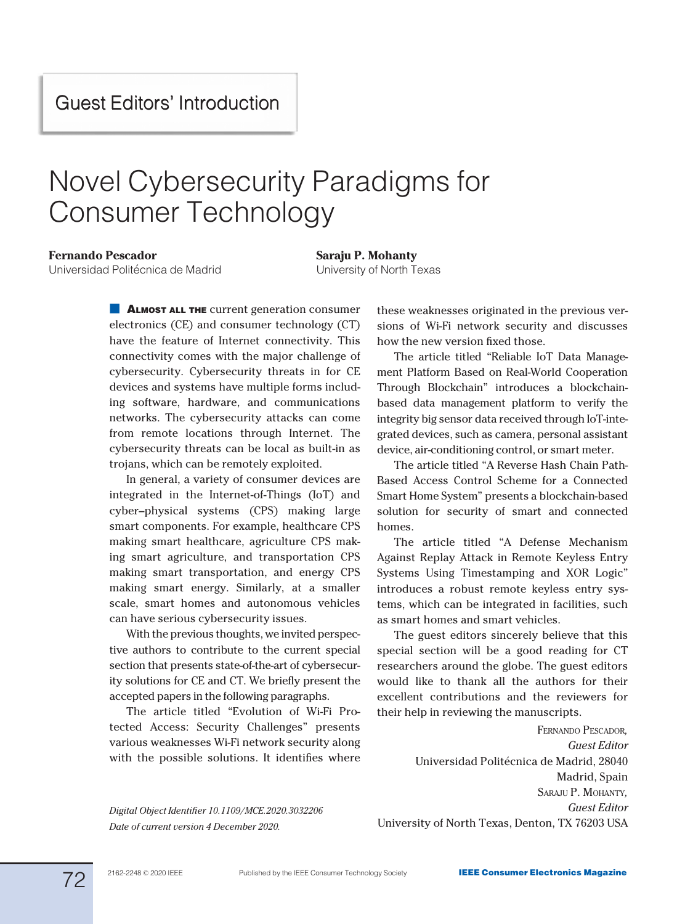## Novel Cybersecurity Paradigms for Consumer Technology

## Fernando Pescador

Universidad Politécnica de Madrid

Saraju P. Mohanty University of North Texas

**ALMOST ALL THE** current generation consumer electronics (CE) and consumer technology (CT) have the feature of Internet connectivity. This connectivity comes with the major challenge of cybersecurity. Cybersecurity threats in for CE devices and systems have multiple forms including software, hardware, and communications networks. The cybersecurity attacks can come from remote locations through Internet. The cybersecurity threats can be local as built-in as trojans, which can be remotely exploited.

In general, a variety of consumer devices are integrated in the Internet-of-Things (IoT) and cyber–physical systems (CPS) making large smart components. For example, healthcare CPS making smart healthcare, agriculture CPS making smart agriculture, and transportation CPS making smart transportation, and energy CPS making smart energy. Similarly, at a smaller scale, smart homes and autonomous vehicles can have serious cybersecurity issues.

With the previous thoughts, we invited perspective authors to contribute to the current special section that presents state-of-the-art of cybersecurity solutions for CE and CT. We briefly present the accepted papers in the following paragraphs.

The article titled "Evolution of Wi-Fi Protected Access: Security Challenges" presents various weaknesses Wi-Fi network security along with the possible solutions. It identifies where

Digital Object Identifier 10.1109/MCE.2020.3032206 Date of current version 4 December 2020.

these weaknesses originated in the previous versions of Wi-Fi network security and discusses how the new version fixed those.

The article titled "Reliable IoT Data Management Platform Based on Real-World Cooperation Through Blockchain" introduces a blockchainbased data management platform to verify the integrity big sensor data received through IoT-integrated devices, such as camera, personal assistant device, air-conditioning control, or smart meter.

The article titled "A Reverse Hash Chain Path-Based Access Control Scheme for a Connected Smart Home System" presents a blockchain-based solution for security of smart and connected homes.

The article titled "A Defense Mechanism Against Replay Attack in Remote Keyless Entry Systems Using Timestamping and XOR Logic" introduces a robust remote keyless entry systems, which can be integrated in facilities, such as smart homes and smart vehicles.

The guest editors sincerely believe that this special section will be a good reading for CT researchers around the globe. The guest editors would like to thank all the authors for their excellent contributions and the reviewers for their help in reviewing the manuscripts.

FERNANDO PESCADOR, Guest Editor Universidad Politécnica de Madrid, 28040 Madrid, Spain SARAJU P. MOHANTY, Guest Editor University of North Texas, Denton, TX 76203 USA